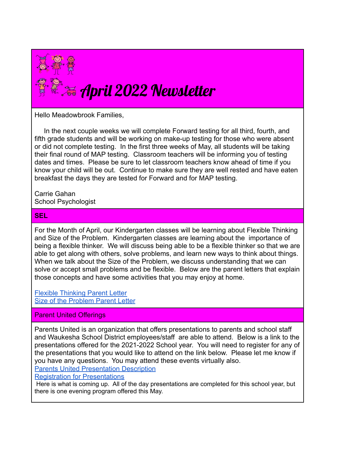

Hello Meadowbrook Families,

In the next couple weeks we will complete Forward testing for all third, fourth, and fifth grade students and will be working on make-up testing for those who were absent or did not complete testing. In the first three weeks of May, all students will be taking their final round of MAP testing. Classroom teachers will be informing you of testing dates and times. Please be sure to let classroom teachers know ahead of time if you know your child will be out. Continue to make sure they are well rested and have eaten breakfast the days they are tested for Forward and for MAP testing.

Carrie Gahan School Psychologist

## **SEL**

For the Month of April, our Kindergarten classes will be learning about Flexible Thinking and Size of the Problem. Kindergarten classes are learning about the importance of being a flexible thinker. We will discuss being able to be a flexible thinker so that we are able to get along with others, solve problems, and learn new ways to think about things. When we talk about the Size of the Problem, we discuss understanding that we can solve or accept small problems and be flexible. Below are the parent letters that explain those concepts and have some activities that you may enjoy at home.

[Flexible Thinking Parent Letter](https://www.graftonps.org/cms/lib/MA01907584/Centricity/Domain/331/Vol%202%20Unit%208%20Family%20Letter.pdf) [Size of the Problem Parent Letter](https://www.graftonps.org/cms/lib/MA01907584/Centricity/Domain/331/Vol%202%20Unit%209%20Family%20Letter.pdf)

## Parent United Offerings

Parents United is an organization that offers presentations to parents and school staff and Waukesha School District employees/staff are able to attend. Below is a link to the presentations offered for the 2021-2022 School year. You will need to register for any of the presentations that you would like to attend on the link below. Please let me know if you have any questions. You may attend these events virtually also.

[Parents United Presentation Description](https://docs.google.com/document/d/1d_wxei06XCDofNDHJk8PaJMw0mOB3HKBG1uvtyOeU8M/edit)

[Registration for Presentations](http://parentsunitedwi.org/register-now/)

Here is what is coming up. All of the day presentations are completed for this school year, but there is one evening program offered this May.